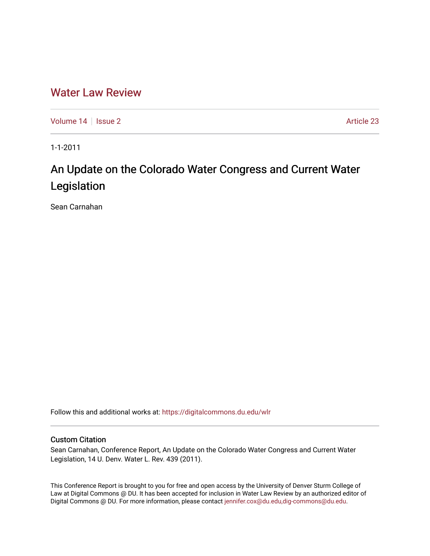## [Water Law Review](https://digitalcommons.du.edu/wlr)

[Volume 14](https://digitalcommons.du.edu/wlr/vol14) | [Issue 2](https://digitalcommons.du.edu/wlr/vol14/iss2) Article 23

1-1-2011

# An Update on the Colorado Water Congress and Current Water Legislation

Sean Carnahan

Follow this and additional works at: [https://digitalcommons.du.edu/wlr](https://digitalcommons.du.edu/wlr?utm_source=digitalcommons.du.edu%2Fwlr%2Fvol14%2Fiss2%2F23&utm_medium=PDF&utm_campaign=PDFCoverPages) 

#### Custom Citation

Sean Carnahan, Conference Report, An Update on the Colorado Water Congress and Current Water Legislation, 14 U. Denv. Water L. Rev. 439 (2011).

This Conference Report is brought to you for free and open access by the University of Denver Sturm College of Law at Digital Commons @ DU. It has been accepted for inclusion in Water Law Review by an authorized editor of Digital Commons @ DU. For more information, please contact [jennifer.cox@du.edu,dig-commons@du.edu](mailto:jennifer.cox@du.edu,dig-commons@du.edu).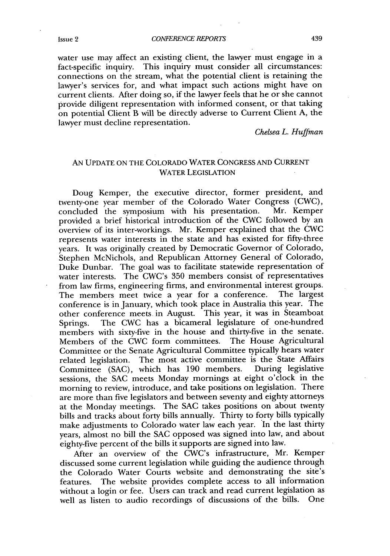water use may affect an existing client, the lawyer must engage in a fact-specific inquiry. This inquiry must consider all circumstances: connections on the stream, what the potential client is retaining the lawyer's services for, and what impact such actions might have on current clients. After doing so, if the lawyer feels that he or she cannot provide diligent representation with informed consent, or that taking on potential Client B will be directly adverse to Current Client **A,** the lawyer must decline representation.

*Chelsea L. Huffman*

### **AN UPDATE ON** THE COLORADO WATER **CONGRESS AND** CURRENT WATER **LEGISLATION**

Doug Kemper, the executive director, former president, and twenty-one year member of the Colorado Water Congress (CWC), concluded the symposium with his presentation. Mr. Kemper concluded the symposium with his presentation. provided a brief historical introduction of the CWC followed **by** an overview of its inter-workings. Mr. Kemper explained that the CWC represents water interests in the state and has existed for fifty-three years. It was originally created **by** Democratic Governor of Colorado, Stephen McNichols, and Republican Attorney General of Colorado, Duke Dunbar. The goal was to facilitate statewide representation of water interests. The CWC's **350** members consist of representatives from law firms, engineering firms, and environmental interest groups.<br>The members meet twice a year for a conference. The largest The members meet twice a year for a conference. conference is in January, which took place in Australia this year. The other conference meets. in August. This year, it was in Steamboat Springs. The CWC has a bicameral legislature of one-hundred members with sixty-five in the house and thirty-five in the senate. Members of the CWC form committees. The House Agricultural Committee or the Senate Agricultural Committee typically hears water related legislation. The most active committee is the State Affairs Committee (SAC), which has 190 members. During legislative Committee (SAC), which has 190 members. sessions, the **SAC** meets Monday mornings at eight o'clock in the morning to review, introduce, and take positions on legislation. There are more than five legislators and between seventy and eighty attorneys at the Monday meetings. The **SAC** takes positions on about twenty bills and tracks about forty bills annually. Thirty to forty bills typically make adjustments to Colorado water law each year. In the last thirty years, almost no bill the **SAC** opposed was signed into law, and about eighty-five percent of the bills it supports are signed into law.

After an overview of the CWC's infrastructure, Mr. Kemper discussed some current legislation while guiding the audience through the Colorado Water Courts website and demonstrating the site's features. The website provides complete access to all information without a login or fee. Users can track and read current legislation as well as listen to audio recordings of discussions of the bills. One